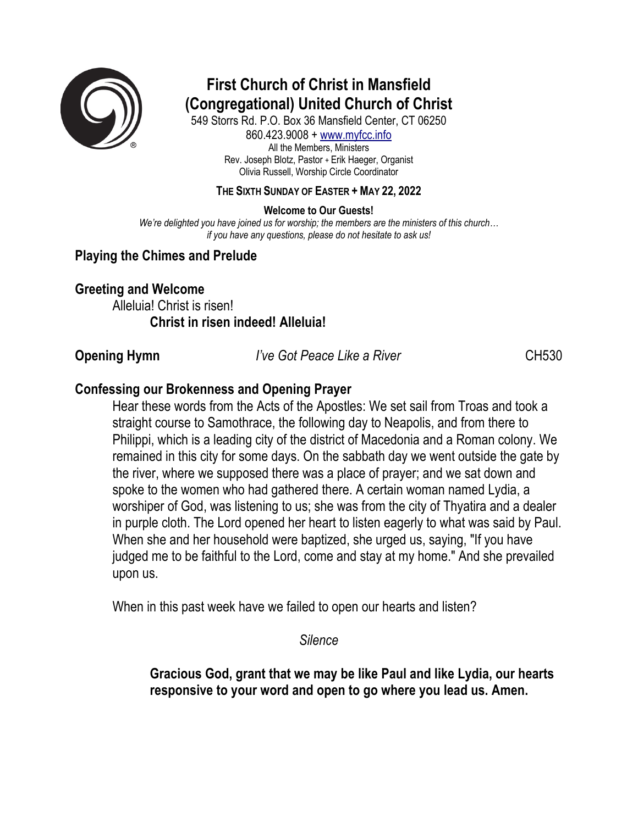

# **First Church of Christ in Mansfield (Congregational) United Church of Christ**

549 Storrs Rd. P.O. Box 36 Mansfield Center, CT 06250 860.423.9008 + www.myfcc.info All the Members, Ministers Rev. Joseph Blotz, Pastor + Erik Haeger, Organist Olivia Russell, Worship Circle Coordinator

### **THE SIXTH SUNDAY OF EASTER + MAY 22, 2022**

**Welcome to Our Guests!**

*We're delighted you have joined us for worship; the members are the ministers of this church… if you have any questions, please do not hesitate to ask us!*

# **Playing the Chimes and Prelude**

# **Greeting and Welcome**

Alleluia! Christ is risen! **Christ in risen indeed! Alleluia!**

**Opening Hymn** *I've Got Peace Like a River* **CH530** 

# **Confessing our Brokenness and Opening Prayer**

Hear these words from the Acts of the Apostles: We set sail from Troas and took a straight course to Samothrace, the following day to Neapolis, and from there to Philippi, which is a leading city of the district of Macedonia and a Roman colony. We remained in this city for some days. On the sabbath day we went outside the gate by the river, where we supposed there was a place of prayer; and we sat down and spoke to the women who had gathered there. A certain woman named Lydia, a worshiper of God, was listening to us; she was from the city of Thyatira and a dealer in purple cloth. The Lord opened her heart to listen eagerly to what was said by Paul. When she and her household were baptized, she urged us, saying, "If you have judged me to be faithful to the Lord, come and stay at my home." And she prevailed upon us.

When in this past week have we failed to open our hearts and listen?

*Silence*

**Gracious God, grant that we may be like Paul and like Lydia, our hearts responsive to your word and open to go where you lead us. Amen.**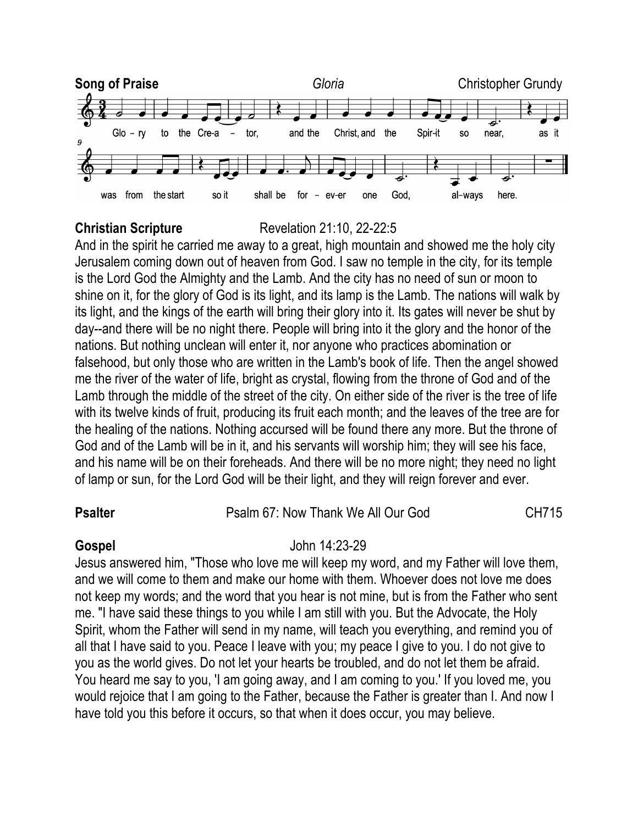

### **Christian Scripture** Revelation 21:10, 22-22:5

And in the spirit he carried me away to a great, high mountain and showed me the holy city Jerusalem coming down out of heaven from God. I saw no temple in the city, for its temple is the Lord God the Almighty and the Lamb. And the city has no need of sun or moon to shine on it, for the glory of God is its light, and its lamp is the Lamb. The nations will walk by its light, and the kings of the earth will bring their glory into it. Its gates will never be shut by day--and there will be no night there. People will bring into it the glory and the honor of the nations. But nothing unclean will enter it, nor anyone who practices abomination or falsehood, but only those who are written in the Lamb's book of life. Then the angel showed me the river of the water of life, bright as crystal, flowing from the throne of God and of the Lamb through the middle of the street of the city. On either side of the river is the tree of life with its twelve kinds of fruit, producing its fruit each month; and the leaves of the tree are for the healing of the nations. Nothing accursed will be found there any more. But the throne of God and of the Lamb will be in it, and his servants will worship him; they will see his face, and his name will be on their foreheads. And there will be no more night; they need no light of lamp or sun, for the Lord God will be their light, and they will reign forever and ever.

### **Psalter** Psalm 67: Now Thank We All Our God CH715

# **Gospel** John 14:23-29

Jesus answered him, "Those who love me will keep my word, and my Father will love them, and we will come to them and make our home with them. Whoever does not love me does not keep my words; and the word that you hear is not mine, but is from the Father who sent me. "I have said these things to you while I am still with you. But the Advocate, the Holy Spirit, whom the Father will send in my name, will teach you everything, and remind you of all that I have said to you. Peace I leave with you; my peace I give to you. I do not give to you as the world gives. Do not let your hearts be troubled, and do not let them be afraid. You heard me say to you, 'I am going away, and I am coming to you.' If you loved me, you would rejoice that I am going to the Father, because the Father is greater than I. And now I have told you this before it occurs, so that when it does occur, you may believe.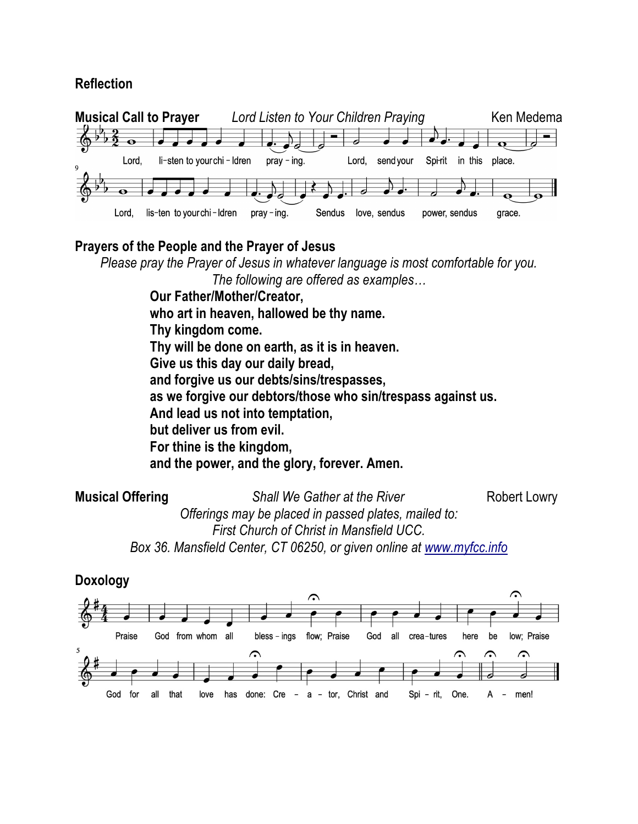# **Reflection**



# **Prayers of the People and the Prayer of Jesus**

*Please pray the Prayer of Jesus in whatever language is most comfortable for you.*

*The following are offered as examples…*

**Our Father/Mother/Creator, who art in heaven, hallowed be thy name. Thy kingdom come. Thy will be done on earth, as it is in heaven. Give us this day our daily bread, and forgive us our debts/sins/trespasses, as we forgive our debtors/those who sin/trespass against us. And lead us not into temptation, but deliver us from evil. For thine is the kingdom, and the power, and the glory, forever. Amen.**

**Musical Offering** *Shall We Gather at the River* **Robert Lowry** 

*First Church of Christ in Mansfield UCC. Box 36. Mansfield Center, CT 06250, or given online at www.myfcc.info*

*Offerings may be placed in passed plates, mailed to:* 

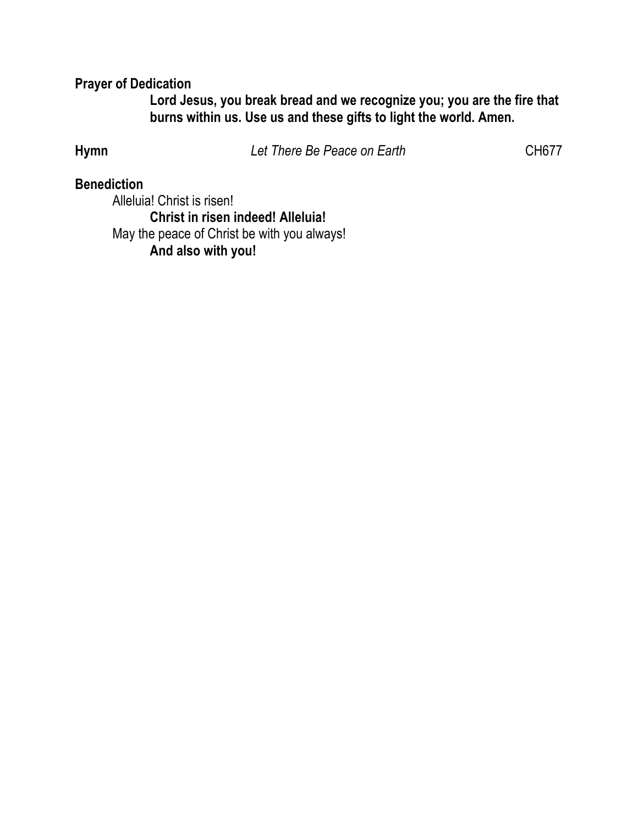# **Prayer of Dedication**

**Lord Jesus, you break bread and we recognize you; you are the fire that burns within us. Use us and these gifts to light the world. Amen.**

**Hymn** *Let There Be Peace on Earth* CH677

# **Benediction**

Alleluia! Christ is risen! **Christ in risen indeed! Alleluia!** May the peace of Christ be with you always! **And also with you!**